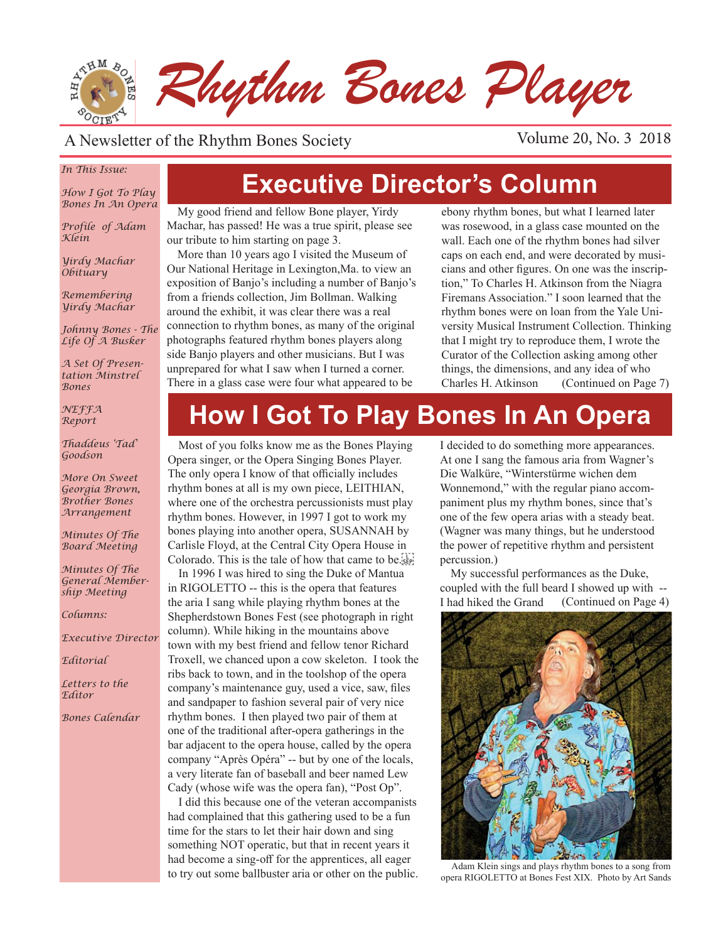

#### A Newsletter of the Rhythm Bones Society Volume 20, No. 3 2018

#### *In This Issue:*

*How I Got To Play Bones In An Opera*

*Profile of Adam Klein*

*Yirdy Machar Obituary*

*Remembering Yirdy Machar*

*Johnny Bones - The Life Of A Busker*

*A Set Of Presentation Minstrel Bones*

*NEFFA Report*

*Thaddeus 'Tad' Goodson*

*More On Sweet Georgia Brown, Brother Bones Arrangement*

*Minutes Of The Board Meeting*

*Minutes Of The General Membership Meeting*

*Columns:* 

*Executive Director*

*Editorial*

*Letters to the Editor*

*Bones Calendar*

## **Executive Director's Column**

My good friend and fellow Bone player, Yirdy Machar, has passed! He was a true spirit, please see our tribute to him starting on page 3.

More than 10 years ago I visited the Museum of Our National Heritage in Lexington,Ma. to view an exposition of Banjo's including a number of Banjo's from a friends collection, Jim Bollman. Walking around the exhibit, it was clear there was a real connection to rhythm bones, as many of the original photographs featured rhythm bones players along side Banjo players and other musicians. But I was unprepared for what I saw when I turned a corner. There in a glass case were four what appeared to be

ebony rhythm bones, but what I learned later was rosewood, in a glass case mounted on the wall. Each one of the rhythm bones had silver caps on each end, and were decorated by musicians and other figures. On one was the inscription," To Charles H. Atkinson from the Niagra Firemans Association." I soon learned that the rhythm bones were on loan from the Yale University Musical Instrument Collection. Thinking that I might try to reproduce them, I wrote the Curator of the Collection asking among other things, the dimensions, and any idea of who Charles H. Atkinson (Continued on Page 7)

# **How I Got To Play Bones In An Opera**

Most of you folks know me as the Bones Playing Opera singer, or the Opera Singing Bones Player. The only opera I know of that officially includes rhythm bones at all is my own piece, LEITHIAN, where one of the orchestra percussionists must play rhythm bones. However, in 1997 I got to work my bones playing into another opera, SUSANNAH by Carlisle Floyd, at the Central City Opera House in Colorado. This is the tale of how that came to be.

In 1996 I was hired to sing the Duke of Mantua in RIGOLETTO -- this is the opera that features the aria I sang while playing rhythm bones at the Shepherdstown Bones Fest (see photograph in right column). While hiking in the mountains above town with my best friend and fellow tenor Richard Troxell, we chanced upon a cow skeleton. I took the ribs back to town, and in the toolshop of the opera company's maintenance guy, used a vice, saw, files and sandpaper to fashion several pair of very nice rhythm bones. I then played two pair of them at one of the traditional after-opera gatherings in the bar adjacent to the opera house, called by the opera company "Après Opéra" -- but by one of the locals, a very literate fan of baseball and beer named Lew Cady (whose wife was the opera fan), "Post Op".

I did this because one of the veteran accompanists had complained that this gathering used to be a fun time for the stars to let their hair down and sing something NOT operatic, but that in recent years it had become a sing-off for the apprentices, all eager to try out some ballbuster aria or other on the public. I decided to do something more appearances. At one I sang the famous aria from Wagner's Die Walküre, "Winterstürme wichen dem Wonnemond," with the regular piano accompaniment plus my rhythm bones, since that's one of the few opera arias with a steady beat. (Wagner was many things, but he understood the power of repetitive rhythm and persistent percussion.)

My successful performances as the Duke, coupled with the full beard I showed up with -- I had hiked the Grand (Continued on Page 4)



Adam Klein sings and plays rhythm bones to a song from opera RIGOLETTO at Bones Fest XIX. Photo by Art Sands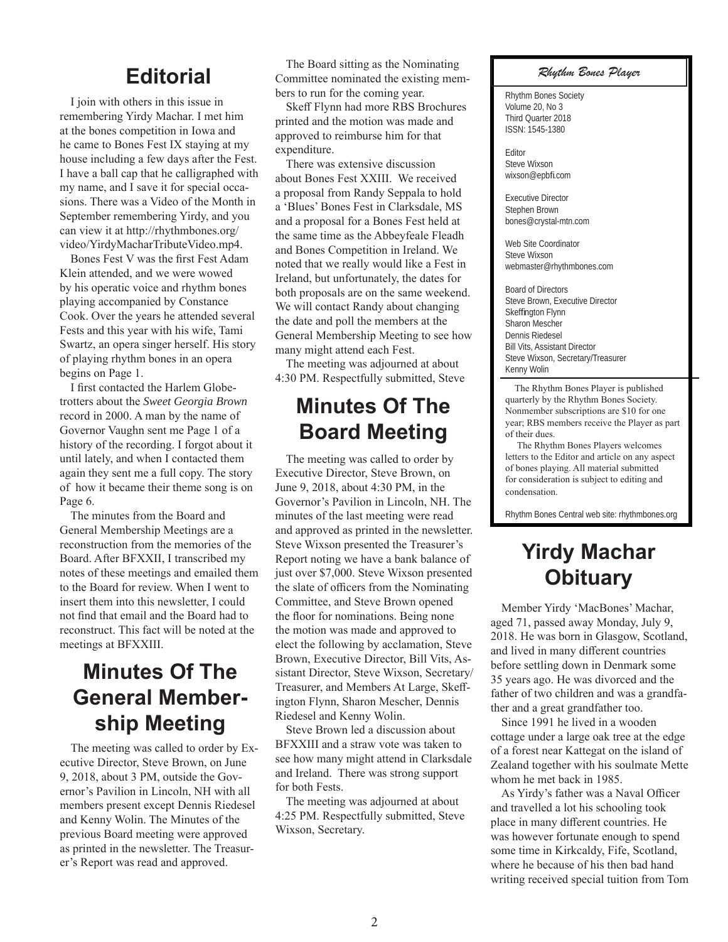#### **Editorial**

I join with others in this issue in remembering Yirdy Machar. I met him at the bones competition in Iowa and he came to Bones Fest IX staying at my house including a few days after the Fest. I have a ball cap that he calligraphed with my name, and I save it for special occasions. There was a Video of the Month in September remembering Yirdy, and you can view it at http://rhythmbones.org/ video/YirdyMacharTributeVideo.mp4.

Bones Fest V was the first Fest Adam Klein attended, and we were wowed by his operatic voice and rhythm bones playing accompanied by Constance Cook. Over the years he attended several Fests and this year with his wife, Tami Swartz, an opera singer herself. His story of playing rhythm bones in an opera begins on Page 1.

I first contacted the Harlem Globetrotters about the *Sweet Georgia Brown* record in 2000. A man by the name of Governor Vaughn sent me Page 1 of a history of the recording. I forgot about it until lately, and when I contacted them again they sent me a full copy. The story of how it became their theme song is on Page 6.

The minutes from the Board and General Membership Meetings are a reconstruction from the memories of the Board. After BFXXII, I transcribed my notes of these meetings and emailed them to the Board for review. When I went to insert them into this newsletter, I could not find that email and the Board had to reconstruct. This fact will be noted at the meetings at BFXXIII.

## **Minutes Of The General Membership Meeting**

The meeting was called to order by Executive Director, Steve Brown, on June 9, 2018, about 3 PM, outside the Governor's Pavilion in Lincoln, NH with all members present except Dennis Riedesel and Kenny Wolin. The Minutes of the previous Board meeting were approved as printed in the newsletter. The Treasurer's Report was read and approved.

The Board sitting as the Nominating Committee nominated the existing members to run for the coming year.

Skeff Flynn had more RBS Brochures printed and the motion was made and approved to reimburse him for that expenditure.

There was extensive discussion about Bones Fest XXIII. We received a proposal from Randy Seppala to hold a 'Blues' Bones Fest in Clarksdale, MS and a proposal for a Bones Fest held at the same time as the Abbeyfeale Fleadh and Bones Competition in Ireland. We noted that we really would like a Fest in Ireland, but unfortunately, the dates for both proposals are on the same weekend. We will contact Randy about changing the date and poll the members at the General Membership Meeting to see how many might attend each Fest.

The meeting was adjourned at about 4:30 PM. Respectfully submitted, Steve

#### **Minutes Of The Board Meeting**

The meeting was called to order by Executive Director, Steve Brown, on June 9, 2018, about 4:30 PM, in the Governor's Pavilion in Lincoln, NH. The minutes of the last meeting were read and approved as printed in the newsletter. Steve Wixson presented the Treasurer's Report noting we have a bank balance of just over \$7,000. Steve Wixson presented the slate of officers from the Nominating Committee, and Steve Brown opened the floor for nominations. Being none the motion was made and approved to elect the following by acclamation, Steve Brown, Executive Director, Bill Vits, Assistant Director, Steve Wixson, Secretary/ Treasurer, and Members At Large, Skeffington Flynn, Sharon Mescher, Dennis Riedesel and Kenny Wolin.

Steve Brown led a discussion about BFXXIII and a straw vote was taken to see how many might attend in Clarksdale and Ireland. There was strong support for both Fests.

The meeting was adjourned at about 4:25 PM. Respectfully submitted, Steve Wixson, Secretary.

#### *Rhythm Bones Player*

Rhythm Bones Society Volume 20, No 3 Third Quarter 2018 ISSN: 1545-1380

Editor Steve Wixson wixson@epbfi .com

Executive Director Stephen Brown bones@crystal-mtn.com

Web Site Coordinator Steve Wixson webmaster@rhythmbones.com

Board of Directors Steve Brown, Executive Director Skeffington Flynn Sharon Mescher Dennis Riedesel Bill Vits, Assistant Director Steve Wixson, Secretary/Treasurer Kenny Wolin

 The Rhythm Bones Player is published quarterly by the Rhythm Bones Society. Nonmember subscriptions are \$10 for one year; RBS members receive the Player as part of their dues.

 The Rhythm Bones Players welcomes letters to the Editor and article on any aspect of bones playing. All material submitted for consideration is subject to editing and condensation.

Rhythm Bones Central web site: rhythmbones.org

## **Yirdy Machar Obituary**

Member Yirdy 'MacBones' Machar, aged 71, passed away Monday, July 9, 2018. He was born in Glasgow, Scotland, and lived in many different countries before settling down in Denmark some 35 years ago. He was divorced and the father of two children and was a grandfather and a great grandfather too.

Since 1991 he lived in a wooden cottage under a large oak tree at the edge of a forest near Kattegat on the island of Zealand together with his soulmate Mette whom he met back in 1985.

As Yirdy's father was a Naval Officer and travelled a lot his schooling took place in many different countries. He was however fortunate enough to spend some time in Kirkcaldy, Fife, Scotland, where he because of his then bad hand writing received special tuition from Tom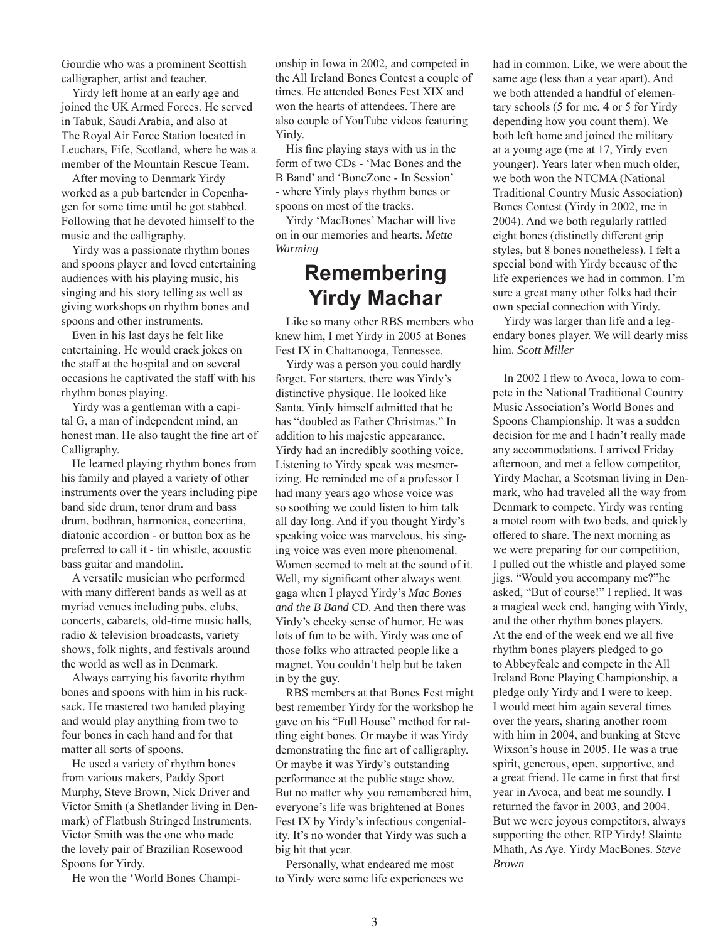Gourdie who was a prominent Scottish calligrapher, artist and teacher.

Yirdy left home at an early age and joined the UK Armed Forces. He served in Tabuk, Saudi Arabia, and also at The Royal Air Force Station located in Leuchars, Fife, Scotland, where he was a member of the Mountain Rescue Team.

After moving to Denmark Yirdy worked as a pub bartender in Copenhagen for some time until he got stabbed. Following that he devoted himself to the music and the calligraphy.

Yirdy was a passionate rhythm bones and spoons player and loved entertaining audiences with his playing music, his singing and his story telling as well as giving workshops on rhythm bones and spoons and other instruments.

Even in his last days he felt like entertaining. He would crack jokes on the staff at the hospital and on several occasions he captivated the staff with his rhythm bones playing.

Yirdy was a gentleman with a capital G, a man of independent mind, an honest man. He also taught the fine art of Calligraphy.

He learned playing rhythm bones from his family and played a variety of other instruments over the years including pipe band side drum, tenor drum and bass drum, bodhran, harmonica, concertina, diatonic accordion - or button box as he preferred to call it - tin whistle, acoustic bass guitar and mandolin.

A versatile musician who performed with many different bands as well as at myriad venues including pubs, clubs, concerts, cabarets, old-time music halls, radio & television broadcasts, variety shows, folk nights, and festivals around the world as well as in Denmark.

Always carrying his favorite rhythm bones and spoons with him in his rucksack. He mastered two handed playing and would play anything from two to four bones in each hand and for that matter all sorts of spoons.

He used a variety of rhythm bones from various makers, Paddy Sport Murphy, Steve Brown, Nick Driver and Victor Smith (a Shetlander living in Denmark) of Flatbush Stringed Instruments. Victor Smith was the one who made the lovely pair of Brazilian Rosewood Spoons for Yirdy.

He won the 'World Bones Champi-

onship in Iowa in 2002, and competed in the All Ireland Bones Contest a couple of times. He attended Bones Fest XIX and won the hearts of attendees. There are also couple of YouTube videos featuring Yirdy.

His fine playing stays with us in the form of two CDs - 'Mac Bones and the B Band' and 'BoneZone - In Session' - where Yirdy plays rhythm bones or spoons on most of the tracks.

Yirdy 'MacBones' Machar will live on in our memories and hearts. *Mette Warming*

#### **Remembering Yirdy Machar**

Like so many other RBS members who knew him, I met Yirdy in 2005 at Bones Fest IX in Chattanooga, Tennessee.

Yirdy was a person you could hardly forget. For starters, there was Yirdy's distinctive physique. He looked like Santa. Yirdy himself admitted that he has "doubled as Father Christmas." In addition to his majestic appearance, Yirdy had an incredibly soothing voice. Listening to Yirdy speak was mesmerizing. He reminded me of a professor I had many years ago whose voice was so soothing we could listen to him talk all day long. And if you thought Yirdy's speaking voice was marvelous, his singing voice was even more phenomenal. Women seemed to melt at the sound of it. Well, my significant other always went gaga when I played Yirdy's *Mac Bones and the B Band* CD. And then there was Yirdy's cheeky sense of humor. He was lots of fun to be with. Yirdy was one of those folks who attracted people like a magnet. You couldn't help but be taken in by the guy.

RBS members at that Bones Fest might best remember Yirdy for the workshop he gave on his "Full House" method for rattling eight bones. Or maybe it was Yirdy demonstrating the fine art of calligraphy. Or maybe it was Yirdy's outstanding performance at the public stage show. But no matter why you remembered him, everyone's life was brightened at Bones Fest IX by Yirdy's infectious congeniality. It's no wonder that Yirdy was such a big hit that year.

Personally, what endeared me most to Yirdy were some life experiences we had in common. Like, we were about the same age (less than a year apart). And we both attended a handful of elementary schools (5 for me, 4 or 5 for Yirdy depending how you count them). We both left home and joined the military at a young age (me at 17, Yirdy even younger). Years later when much older, we both won the NTCMA (National Traditional Country Music Association) Bones Contest (Yirdy in 2002, me in 2004). And we both regularly rattled eight bones (distinctly different grip styles, but 8 bones nonetheless). I felt a special bond with Yirdy because of the life experiences we had in common. I'm sure a great many other folks had their own special connection with Yirdy.

Yirdy was larger than life and a legendary bones player. We will dearly miss him. *Scott Miller*

In 2002 I flew to Avoca, Iowa to compete in the National Traditional Country Music Association's World Bones and Spoons Championship. It was a sudden decision for me and I hadn't really made any accommodations. I arrived Friday afternoon, and met a fellow competitor, Yirdy Machar, a Scotsman living in Denmark, who had traveled all the way from Denmark to compete. Yirdy was renting a motel room with two beds, and quickly offered to share. The next morning as we were preparing for our competition, I pulled out the whistle and played some jigs. "Would you accompany me?"he asked, "But of course!" I replied. It was a magical week end, hanging with Yirdy, and the other rhythm bones players. At the end of the week end we all five rhythm bones players pledged to go to Abbeyfeale and compete in the All Ireland Bone Playing Championship, a pledge only Yirdy and I were to keep. I would meet him again several times over the years, sharing another room with him in 2004, and bunking at Steve Wixson's house in 2005. He was a true spirit, generous, open, supportive, and a great friend. He came in first that first year in Avoca, and beat me soundly. I returned the favor in 2003, and 2004. But we were joyous competitors, always supporting the other. RIP Yirdy! Slainte Mhath, As Aye. Yirdy MacBones. *Steve Brown*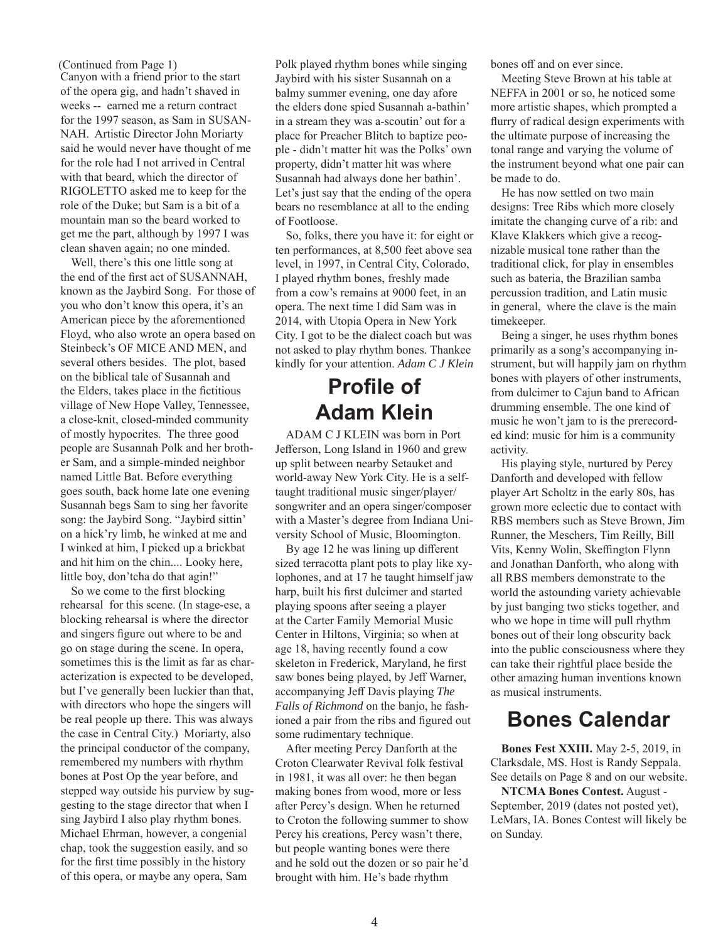(Continued from Page 1)

Canyon with a friend prior to the start of the opera gig, and hadn't shaved in weeks -- earned me a return contract for the 1997 season, as Sam in SUSAN-NAH. Artistic Director John Moriarty said he would never have thought of me for the role had I not arrived in Central with that beard, which the director of RIGOLETTO asked me to keep for the role of the Duke; but Sam is a bit of a mountain man so the beard worked to get me the part, although by 1997 I was clean shaven again; no one minded.

Well, there's this one little song at the end of the first act of SUSANNAH. known as the Jaybird Song. For those of you who don't know this opera, it's an American piece by the aforementioned Floyd, who also wrote an opera based on Steinbeck's OF MICE AND MEN, and several others besides. The plot, based on the biblical tale of Susannah and the Elders, takes place in the fictitious village of New Hope Valley, Tennessee, a close-knit, closed-minded community of mostly hypocrites. The three good people are Susannah Polk and her brother Sam, and a simple-minded neighbor named Little Bat. Before everything goes south, back home late one evening Susannah begs Sam to sing her favorite song: the Jaybird Song. "Jaybird sittin' on a hick'ry limb, he winked at me and I winked at him, I picked up a brickbat and hit him on the chin.... Looky here, little boy, don'tcha do that agin!"

So we come to the first blocking rehearsal for this scene. (In stage-ese, a blocking rehearsal is where the director and singers figure out where to be and go on stage during the scene. In opera, sometimes this is the limit as far as characterization is expected to be developed, but I've generally been luckier than that, with directors who hope the singers will be real people up there. This was always the case in Central City.) Moriarty, also the principal conductor of the company, remembered my numbers with rhythm bones at Post Op the year before, and stepped way outside his purview by suggesting to the stage director that when I sing Jaybird I also play rhythm bones. Michael Ehrman, however, a congenial chap, took the suggestion easily, and so for the first time possibly in the history of this opera, or maybe any opera, Sam

Polk played rhythm bones while singing Jaybird with his sister Susannah on a balmy summer evening, one day afore the elders done spied Susannah a-bathin' in a stream they was a-scoutin' out for a place for Preacher Blitch to baptize people - didn't matter hit was the Polks' own property, didn't matter hit was where Susannah had always done her bathin'. Let's just say that the ending of the opera bears no resemblance at all to the ending of Footloose.

So, folks, there you have it: for eight or ten performances, at 8,500 feet above sea level, in 1997, in Central City, Colorado, I played rhythm bones, freshly made from a cow's remains at 9000 feet, in an opera. The next time I did Sam was in 2014, with Utopia Opera in New York City. I got to be the dialect coach but was not asked to play rhythm bones. Thankee kindly for your attention. *Adam C J Klein*

## **Profile of Adam Klein**

ADAM C J KLEIN was born in Port Jefferson, Long Island in 1960 and grew up split between nearby Setauket and world-away New York City. He is a selftaught traditional music singer/player/ songwriter and an opera singer/composer with a Master's degree from Indiana University School of Music, Bloomington.

By age 12 he was lining up different sized terracotta plant pots to play like xylophones, and at 17 he taught himself jaw harp, built his first dulcimer and started playing spoons after seeing a player at the Carter Family Memorial Music Center in Hiltons, Virginia; so when at age 18, having recently found a cow skeleton in Frederick, Maryland, he first saw bones being played, by Jeff Warner, accompanying Jeff Davis playing *The Falls of Richmond* on the banjo, he fashioned a pair from the ribs and figured out some rudimentary technique.

After meeting Percy Danforth at the Croton Clearwater Revival folk festival in 1981, it was all over: he then began making bones from wood, more or less after Percy's design. When he returned to Croton the following summer to show Percy his creations, Percy wasn't there, but people wanting bones were there and he sold out the dozen or so pair he'd brought with him. He's bade rhythm

bones off and on ever since.

Meeting Steve Brown at his table at NEFFA in 2001 or so, he noticed some more artistic shapes, which prompted a flurry of radical design experiments with the ultimate purpose of increasing the tonal range and varying the volume of the instrument beyond what one pair can be made to do.

He has now settled on two main designs: Tree Ribs which more closely imitate the changing curve of a rib: and Klave Klakkers which give a recognizable musical tone rather than the traditional click, for play in ensembles such as bateria, the Brazilian samba percussion tradition, and Latin music in general, where the clave is the main timekeeper.

Being a singer, he uses rhythm bones primarily as a song's accompanying instrument, but will happily jam on rhythm bones with players of other instruments, from dulcimer to Cajun band to African drumming ensemble. The one kind of music he won't jam to is the prerecorded kind: music for him is a community activity.

His playing style, nurtured by Percy Danforth and developed with fellow player Art Scholtz in the early 80s, has grown more eclectic due to contact with RBS members such as Steve Brown, Jim Runner, the Meschers, Tim Reilly, Bill Vits, Kenny Wolin, Skeffington Flynn and Jonathan Danforth, who along with all RBS members demonstrate to the world the astounding variety achievable by just banging two sticks together, and who we hope in time will pull rhythm bones out of their long obscurity back into the public consciousness where they can take their rightful place beside the other amazing human inventions known as musical instruments.

#### **Bones Calendar**

**Bones Fest XXIII.** May 2-5, 2019, in Clarksdale, MS. Host is Randy Seppala. See details on Page 8 and on our website.

**NTCMA Bones Contest.** August - September, 2019 (dates not posted yet), LeMars, IA. Bones Contest will likely be on Sunday.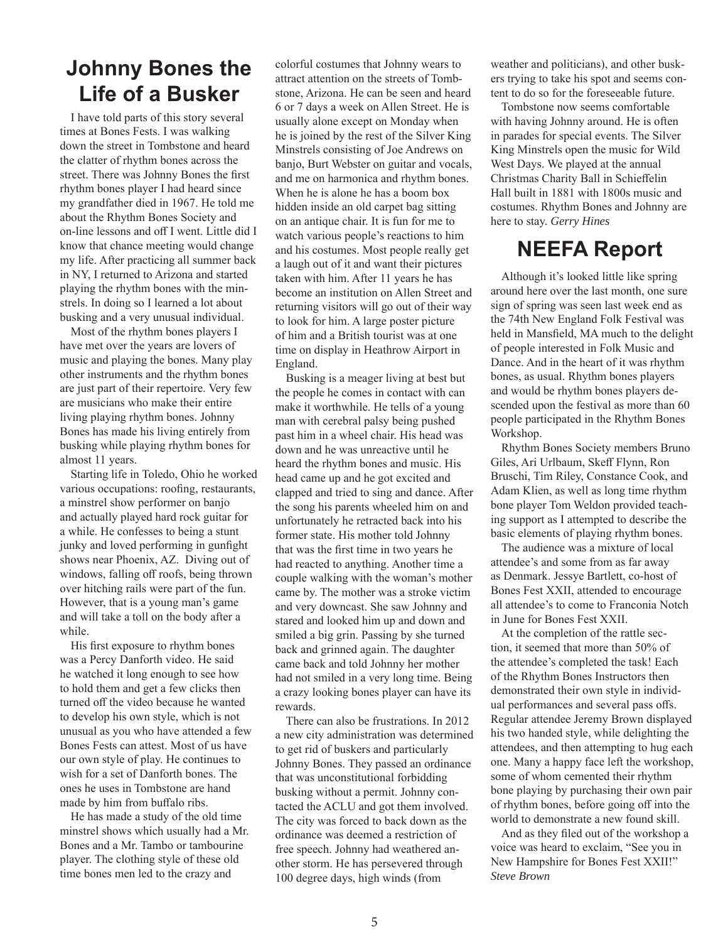#### **Johnny Bones the Life of a Busker**

I have told parts of this story several times at Bones Fests. I was walking down the street in Tombstone and heard the clatter of rhythm bones across the street. There was Johnny Bones the first rhythm bones player I had heard since my grandfather died in 1967. He told me about the Rhythm Bones Society and on-line lessons and off I went. Little did I know that chance meeting would change my life. After practicing all summer back in NY, I returned to Arizona and started playing the rhythm bones with the minstrels. In doing so I learned a lot about busking and a very unusual individual.

Most of the rhythm bones players I have met over the years are lovers of music and playing the bones. Many play other instruments and the rhythm bones are just part of their repertoire. Very few are musicians who make their entire living playing rhythm bones. Johnny Bones has made his living entirely from busking while playing rhythm bones for almost 11 years.

Starting life in Toledo, Ohio he worked various occupations: roofing, restaurants, a minstrel show performer on banjo and actually played hard rock guitar for a while. He confesses to being a stunt junky and loved performing in gunfight shows near Phoenix, AZ. Diving out of windows, falling off roofs, being thrown over hitching rails were part of the fun. However, that is a young man's game and will take a toll on the body after a while.

His first exposure to rhythm bones was a Percy Danforth video. He said he watched it long enough to see how to hold them and get a few clicks then turned off the video because he wanted to develop his own style, which is not unusual as you who have attended a few Bones Fests can attest. Most of us have our own style of play. He continues to wish for a set of Danforth bones. The ones he uses in Tombstone are hand made by him from buffalo ribs.

He has made a study of the old time minstrel shows which usually had a Mr. Bones and a Mr. Tambo or tambourine player. The clothing style of these old time bones men led to the crazy and

colorful costumes that Johnny wears to attract attention on the streets of Tombstone, Arizona. He can be seen and heard 6 or 7 days a week on Allen Street. He is usually alone except on Monday when he is joined by the rest of the Silver King Minstrels consisting of Joe Andrews on banjo, Burt Webster on guitar and vocals, and me on harmonica and rhythm bones. When he is alone he has a boom box hidden inside an old carpet bag sitting on an antique chair. It is fun for me to watch various people's reactions to him and his costumes. Most people really get a laugh out of it and want their pictures taken with him. After 11 years he has become an institution on Allen Street and returning visitors will go out of their way to look for him. A large poster picture of him and a British tourist was at one time on display in Heathrow Airport in England.

Busking is a meager living at best but the people he comes in contact with can make it worthwhile. He tells of a young man with cerebral palsy being pushed past him in a wheel chair. His head was down and he was unreactive until he heard the rhythm bones and music. His head came up and he got excited and clapped and tried to sing and dance. After the song his parents wheeled him on and unfortunately he retracted back into his former state. His mother told Johnny that was the first time in two years he had reacted to anything. Another time a couple walking with the woman's mother came by. The mother was a stroke victim and very downcast. She saw Johnny and stared and looked him up and down and smiled a big grin. Passing by she turned back and grinned again. The daughter came back and told Johnny her mother had not smiled in a very long time. Being a crazy looking bones player can have its rewards.

There can also be frustrations. In 2012 a new city administration was determined to get rid of buskers and particularly Johnny Bones. They passed an ordinance that was unconstitutional forbidding busking without a permit. Johnny contacted the ACLU and got them involved. The city was forced to back down as the ordinance was deemed a restriction of free speech. Johnny had weathered another storm. He has persevered through 100 degree days, high winds (from

weather and politicians), and other buskers trying to take his spot and seems content to do so for the foreseeable future.

Tombstone now seems comfortable with having Johnny around. He is often in parades for special events. The Silver King Minstrels open the music for Wild West Days. We played at the annual Christmas Charity Ball in Schieffelin Hall built in 1881 with 1800s music and costumes. Rhythm Bones and Johnny are here to stay. *Gerry Hines*

## **NEEFA Report**

Although it's looked little like spring around here over the last month, one sure sign of spring was seen last week end as the 74th New England Folk Festival was held in Mansfield, MA much to the delight of people interested in Folk Music and Dance. And in the heart of it was rhythm bones, as usual. Rhythm bones players and would be rhythm bones players descended upon the festival as more than 60 people participated in the Rhythm Bones Workshop.

Rhythm Bones Society members Bruno Giles, Ari Urlbaum, Skeff Flynn, Ron Bruschi, Tim Riley, Constance Cook, and Adam Klien, as well as long time rhythm bone player Tom Weldon provided teaching support as I attempted to describe the basic elements of playing rhythm bones.

The audience was a mixture of local attendee's and some from as far away as Denmark. Jessye Bartlett, co-host of Bones Fest XXII, attended to encourage all attendee's to come to Franconia Notch in June for Bones Fest XXII.

At the completion of the rattle section, it seemed that more than 50% of the attendee's completed the task! Each of the Rhythm Bones Instructors then demonstrated their own style in individual performances and several pass offs. Regular attendee Jeremy Brown displayed his two handed style, while delighting the attendees, and then attempting to hug each one. Many a happy face left the workshop, some of whom cemented their rhythm bone playing by purchasing their own pair of rhythm bones, before going off into the world to demonstrate a new found skill.

And as they filed out of the workshop a voice was heard to exclaim, "See you in New Hampshire for Bones Fest XXII!" *Steve Brown*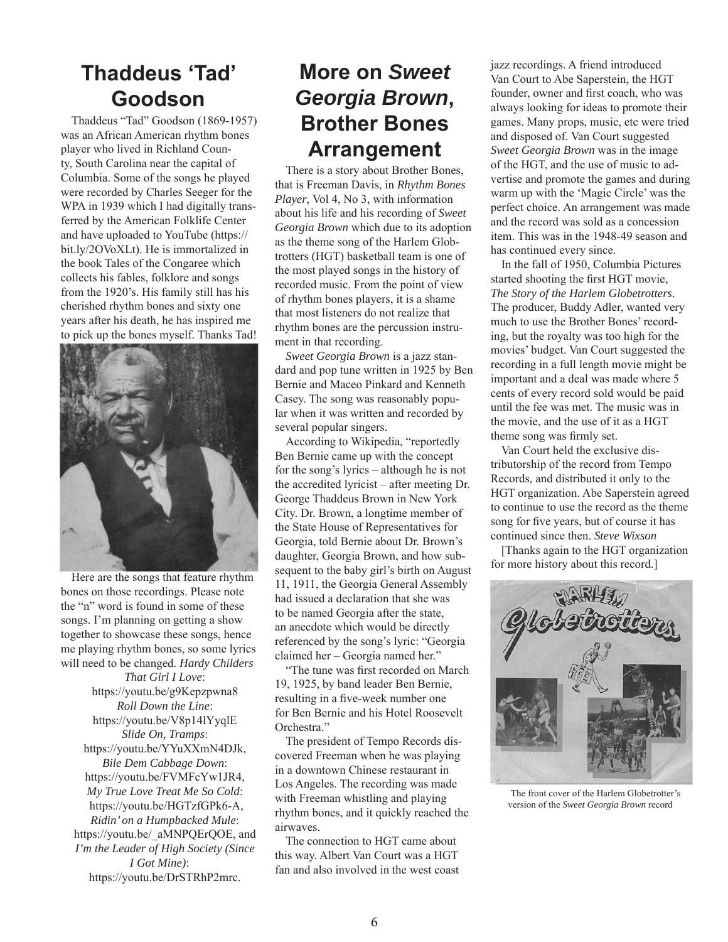### **Thaddeus 'Tad' Goodson**

Thaddeus "Tad" Goodson (1869-1957) was an African American rhythm bones player who lived in Richland County, South Carolina near the capital of Columbia. Some of the songs he played were recorded by Charles Seeger for the WPA in 1939 which I had digitally transferred by the American Folklife Center and have uploaded to YouTube (https:// bit.ly/2OVoXLt). He is immortalized in the book Tales of the Congaree which collects his fables, folklore and songs from the 1920's. His family still has his cherished rhythm bones and sixty one years after his death, he has inspired me to pick up the bones myself. Thanks Tad!



Here are the songs that feature rhythm bones on those recordings. Please note the "n" word is found in some of these songs. I'm planning on getting a show together to showcase these songs, hence me playing rhythm bones, so some lyrics will need to be changed. *Hardy Childers*

*That Girl I Love*: https://youtu.be/g9Kepzpwna8 *Roll Down the Line*: https://youtu.be/V8p14lYyqlE *Slide On, Tramps*: https://youtu.be/YYuXXmN4DJk, *Bile Dem Cabbage Down*: https://youtu.be/FVMFcYw1JR4, *My True Love Treat Me So Cold*: https://youtu.be/HGTzfGPk6-A, *Ridin' on a Humpbacked Mule*: https://youtu.be/\_aMNPQErQOE, and *I'm the Leader of High Society (Since I Got Mine)*: https://youtu.be/DrSTRhP2mrc.

## **More on** *Sweet Georgia Brown***, Brother Bones Arrangement**

There is a story about Brother Bones, that is Freeman Davis, in *Rhythm Bones Player*, Vol 4, No 3, with information about his life and his recording of *Sweet Georgia Brown* which due to its adoption as the theme song of the Harlem Globtrotters (HGT) basketball team is one of the most played songs in the history of recorded music. From the point of view of rhythm bones players, it is a shame that most listeners do not realize that rhythm bones are the percussion instrument in that recording.

*Sweet Georgia Brown* is a jazz standard and pop tune written in 1925 by Ben Bernie and Maceo Pinkard and Kenneth Casey. The song was reasonably popular when it was written and recorded by several popular singers.

According to Wikipedia, "reportedly Ben Bernie came up with the concept for the song's lyrics – although he is not the accredited lyricist – after meeting Dr. George Thaddeus Brown in New York City. Dr. Brown, a longtime member of the State House of Representatives for Georgia, told Bernie about Dr. Brown's daughter, Georgia Brown, and how subsequent to the baby girl's birth on August 11, 1911, the Georgia General Assembly had issued a declaration that she was to be named Georgia after the state, an anecdote which would be directly referenced by the song's lyric: "Georgia claimed her – Georgia named her."

"The tune was first recorded on March 19, 1925, by band leader Ben Bernie, resulting in a five-week number one for Ben Bernie and his Hotel Roosevelt Orchestra."

The president of Tempo Records discovered Freeman when he was playing in a downtown Chinese restaurant in Los Angeles. The recording was made with Freeman whistling and playing rhythm bones, and it quickly reached the airwaves.

The connection to HGT came about this way. Albert Van Court was a HGT fan and also involved in the west coast jazz recordings. A friend introduced Van Court to Abe Saperstein, the HGT founder, owner and first coach, who was always looking for ideas to promote their games. Many props, music, etc were tried and disposed of. Van Court suggested *Sweet Georgia Brown* was in the image of the HGT, and the use of music to advertise and promote the games and during warm up with the 'Magic Circle' was the perfect choice. An arrangement was made and the record was sold as a concession item. This was in the 1948-49 season and has continued every since.

In the fall of 1950, Columbia Pictures started shooting the first HGT movie, *The Story of the Harlem Globetrotters.*  The producer, Buddy Adler, wanted very much to use the Brother Bones' recording, but the royalty was too high for the movies' budget. Van Court suggested the recording in a full length movie might be important and a deal was made where 5 cents of every record sold would be paid until the fee was met. The music was in the movie, and the use of it as a HGT theme song was firmly set.

Van Court held the exclusive distributorship of the record from Tempo Records, and distributed it only to the HGT organization. Abe Saperstein agreed to continue to use the record as the theme song for five years, but of course it has continued since then. *Steve Wixson*

[Thanks again to the HGT organization for more history about this record.]



The front cover of the Harlem Globetrotter's version of the *Sweet Georgia Brown* record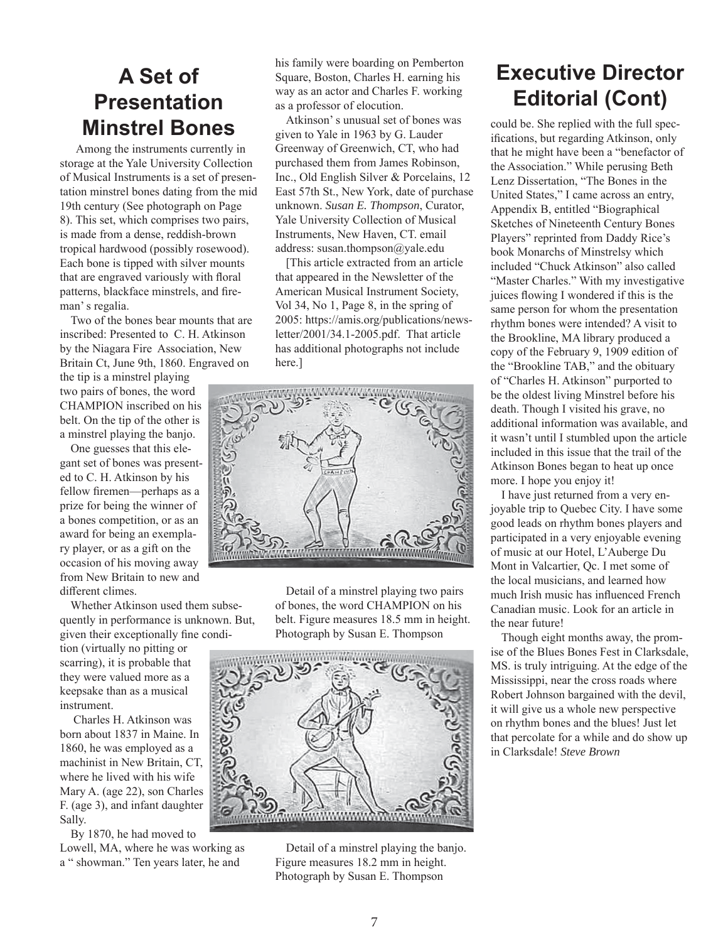## **A Set of Presentation Minstrel Bones**

 Among the instruments currently in storage at the Yale University Collection of Musical Instruments is a set of presentation minstrel bones dating from the mid 19th century (See photograph on Page 8). This set, which comprises two pairs, is made from a dense, reddish-brown tropical hardwood (possibly rosewood). Each bone is tipped with silver mounts that are engraved variously with floral patterns, blackface minstrels, and fireman' s regalia.

Two of the bones bear mounts that are inscribed: Presented to C. H. Atkinson by the Niagara Fire Association, New Britain Ct, June 9th, 1860. Engraved on

the tip is a minstrel playing two pairs of bones, the word CHAMPION inscribed on his belt. On the tip of the other is a minstrel playing the banjo.

One guesses that this elegant set of bones was presented to C. H. Atkinson by his fellow firemen—perhaps as a prize for being the winner of a bones competition, or as an award for being an exemplary player, or as a gift on the occasion of his moving away from New Britain to new and different climes.

Whether Atkinson used them subsequently in performance is unknown. But, given their exceptionally fine condi-

tion (virtually no pitting or scarring), it is probable that they were valued more as a keepsake than as a musical instrument.

 Charles H. Atkinson was born about 1837 in Maine. In 1860, he was employed as a machinist in New Britain, CT, where he lived with his wife Mary A. (age 22), son Charles F. (age 3), and infant daughter Sally.

By 1870, he had moved to Lowell, MA, where he was working as a " showman." Ten years later, he and

his family were boarding on Pemberton Square, Boston, Charles H. earning his way as an actor and Charles F. working as a professor of elocution.

Atkinson' s unusual set of bones was given to Yale in 1963 by G. Lauder Greenway of Greenwich, CT, who had purchased them from James Robinson, Inc., Old English Silver & Porcelains, 12 East 57th St., New York, date of purchase unknown. *Susan E. Thompson*, Curator, Yale University Collection of Musical Instruments, New Haven, CT. email address: susan.thompson@yale.edu

[This article extracted from an article that appeared in the Newsletter of the American Musical Instrument Society, Vol 34, No 1, Page 8, in the spring of 2005: https://amis.org/publications/newsletter/2001/34.1-2005.pdf. That article has additional photographs not include here.]



Detail of a minstrel playing two pairs of bones, the word CHAMPION on his belt. Figure measures 18.5 mm in height. Photograph by Susan E. Thompson



Detail of a minstrel playing the banjo. Figure measures 18.2 mm in height. Photograph by Susan E. Thompson

## **Executive Director Editorial (Cont)**

could be. She replied with the full specifications, but regarding Atkinson, only that he might have been a "benefactor of the Association." While perusing Beth Lenz Dissertation, "The Bones in the United States," I came across an entry, Appendix B, entitled "Biographical Sketches of Nineteenth Century Bones Players" reprinted from Daddy Rice's book Monarchs of Minstrelsy which included "Chuck Atkinson" also called "Master Charles." With my investigative juices flowing I wondered if this is the same person for whom the presentation rhythm bones were intended? A visit to the Brookline, MA library produced a copy of the February 9, 1909 edition of the "Brookline TAB," and the obituary of "Charles H. Atkinson" purported to be the oldest living Minstrel before his death. Though I visited his grave, no additional information was available, and it wasn't until I stumbled upon the article included in this issue that the trail of the Atkinson Bones began to heat up once more. I hope you enjoy it!

I have just returned from a very enjoyable trip to Quebec City. I have some good leads on rhythm bones players and participated in a very enjoyable evening of music at our Hotel, L'Auberge Du Mont in Valcartier, Qc. I met some of the local musicians, and learned how much Irish music has influenced French Canadian music. Look for an article in the near future!

Though eight months away, the promise of the Blues Bones Fest in Clarksdale, MS. is truly intriguing. At the edge of the Mississippi, near the cross roads where Robert Johnson bargained with the devil, it will give us a whole new perspective on rhythm bones and the blues! Just let that percolate for a while and do show up in Clarksdale! *Steve Brown*